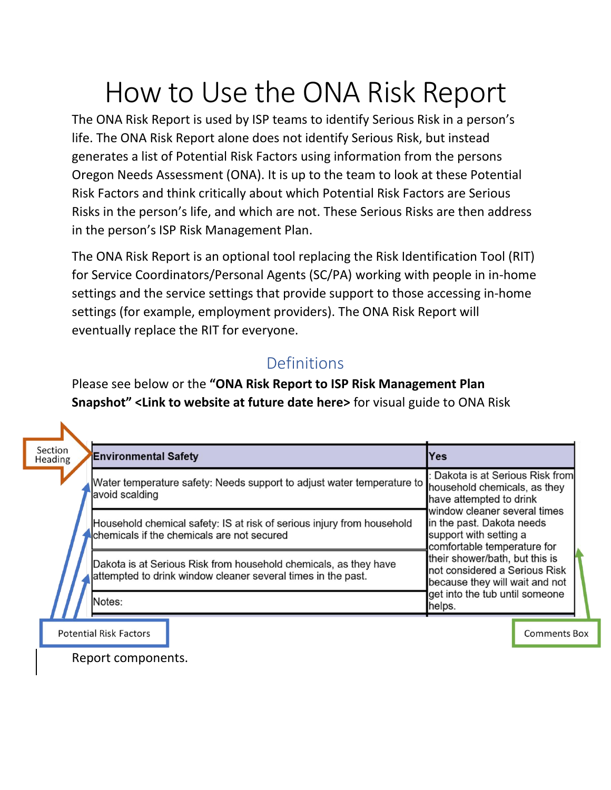# How to Use the ONA Risk Report

The ONA Risk Report is used by ISP teams to identify Serious Risk in a person's life. The ONA Risk Report alone does not identify Serious Risk, but instead generates a list of Potential Risk Factors using information from the persons Oregon Needs Assessment (ONA). It is up to the team to look at these Potential Risk Factors and think critically about which Potential Risk Factors are Serious Risks in the person's life, and which are not. These Serious Risks are then address in the person's ISP Risk Management Plan.

The ONA Risk Report is an optional tool replacing the Risk Identification Tool (RIT) for Service Coordinators/Personal Agents (SC/PA) working with people in in-home settings and the service settings that provide support to those accessing in-home settings (for example, employment providers). The ONA Risk Report will eventually replace the RIT for everyone.

## Definitions

Please see below or the **"ONA Risk Report to ISP Risk Management Plan Snapshot" <Link to website at future date here>** for visual guide to ONA Risk

| Section<br><b>Environmental Safety</b><br>Heading |                                                                                                                                  | Yes                                                                                                                |
|---------------------------------------------------|----------------------------------------------------------------------------------------------------------------------------------|--------------------------------------------------------------------------------------------------------------------|
| avoid scalding                                    | Water temperature safety: Needs support to adjust water temperature to household chemicals, as they                              | : Dakota is at Serious Risk from<br>have attempted to drink                                                        |
|                                                   | Household chemical safety: IS at risk of serious injury from household<br>Chemicals if the chemicals are not secured             | window cleaner several times<br>in the past. Dakota needs<br>support with setting a<br>comfortable temperature for |
|                                                   | Dakota is at Serious Risk from household chemicals, as they have<br>attempted to drink window cleaner several times in the past. | their shower/bath, but this is<br>not considered a Serious Risk<br>because they will wait and not                  |
| Notes:                                            |                                                                                                                                  | get into the tub until someone<br>helps.                                                                           |

**Potential Risk Factors** 

**Comments Box** 

Report components.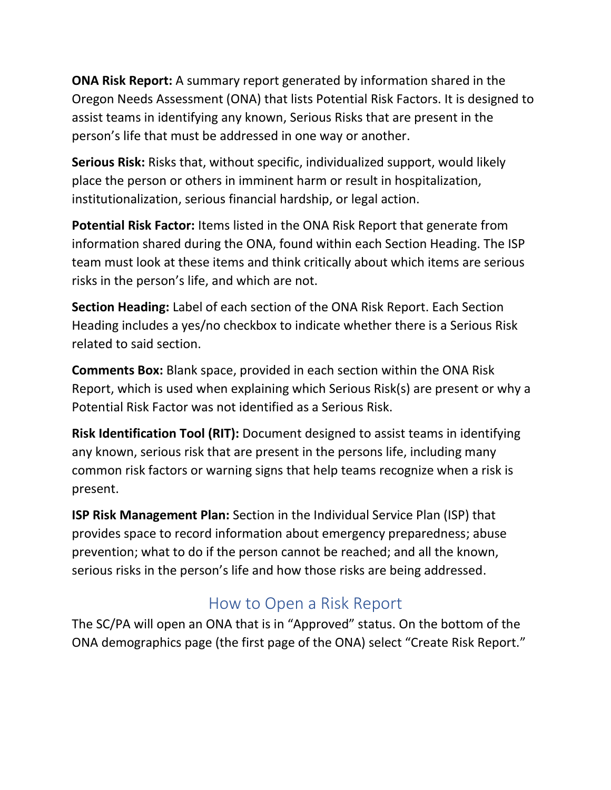**ONA Risk Report:** A summary report generated by information shared in the Oregon Needs Assessment (ONA) that lists Potential Risk Factors. It is designed to assist teams in identifying any known, Serious Risks that are present in the person's life that must be addressed in one way or another.

**Serious Risk:** Risks that, without specific, individualized support, would likely place the person or others in imminent harm or result in hospitalization, institutionalization, serious financial hardship, or legal action.

**Potential Risk Factor:** Items listed in the ONA Risk Report that generate from information shared during the ONA, found within each Section Heading. The ISP team must look at these items and think critically about which items are serious risks in the person's life, and which are not.

**Section Heading:** Label of each section of the ONA Risk Report. Each Section Heading includes a yes/no checkbox to indicate whether there is a Serious Risk related to said section.

**Comments Box:** Blank space, provided in each section within the ONA Risk Report, which is used when explaining which Serious Risk(s) are present or why a Potential Risk Factor was not identified as a Serious Risk.

**Risk Identification Tool (RIT):** Document designed to assist teams in identifying any known, serious risk that are present in the persons life, including many common risk factors or warning signs that help teams recognize when a risk is present.

**ISP Risk Management Plan:** Section in the Individual Service Plan (ISP) that provides space to record information about emergency preparedness; abuse prevention; what to do if the person cannot be reached; and all the known, serious risks in the person's life and how those risks are being addressed.

# How to Open a Risk Report

The SC/PA will open an ONA that is in "Approved" status. On the bottom of the ONA demographics page (the first page of the ONA) select "Create Risk Report."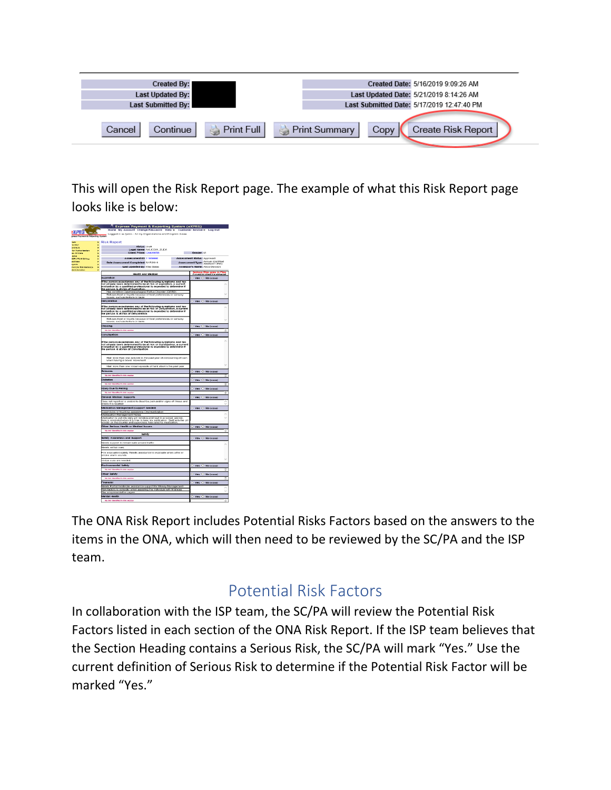| <b>Created By:</b>        |            |               |      | Created Date: 5/16/2019 9:09:26 AM         |
|---------------------------|------------|---------------|------|--------------------------------------------|
| <b>Last Updated By:</b>   |            |               |      | Last Updated Date: 5/21/2019 8:14:26 AM    |
| <b>Last Submitted By:</b> |            |               |      | Last Submitted Date: 5/17/2019 12:47:40 PM |
|                           |            |               |      |                                            |
| Continue<br>Cancel        | Print Full | Print Summary | Copy | Create Risk Report                         |

This will open the Risk Report page. The example of what this Risk Report page looks like is below:



The ONA Risk Report includes Potential Risks Factors based on the answers to the items in the ONA, which will then need to be reviewed by the SC/PA and the ISP team.

## Potential Risk Factors

In collaboration with the ISP team, the SC/PA will review the Potential Risk Factors listed in each section of the ONA Risk Report. If the ISP team believes that the Section Heading contains a Serious Risk, the SC/PA will mark "Yes." Use the current definition of Serious Risk to determine if the Potential Risk Factor will be marked "Yes."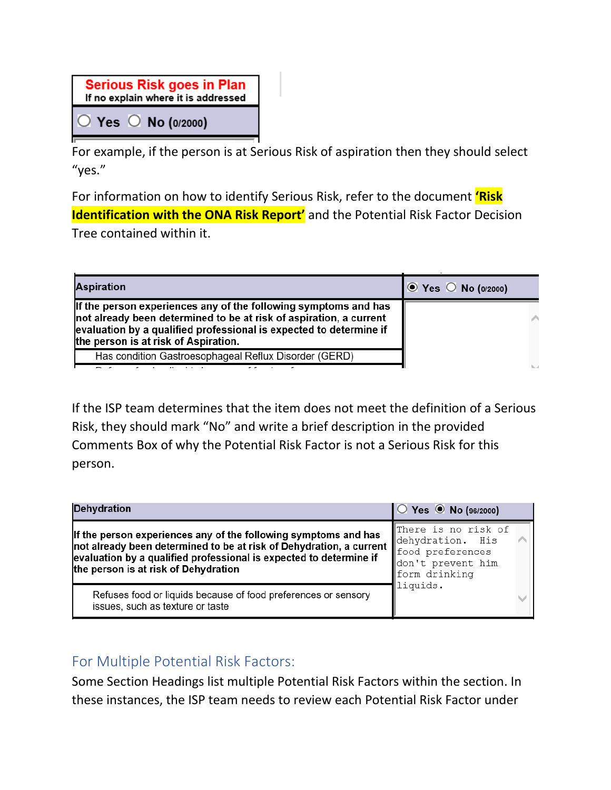| <b>Serious Risk goes in Plan</b><br>If no explain where it is addressed |  |                                 |  |
|-------------------------------------------------------------------------|--|---------------------------------|--|
|                                                                         |  | $\circ$ Yes $\circ$ No (0/2000) |  |

For example, if the person is at Serious Risk of aspiration then they should select "yes."

For information on how to identify Serious Risk, refer to the document **'Risk Identification with the ONA Risk Report'** and the Potential Risk Factor Decision Tree contained within it.

| <b>Aspiration</b>                                                                                                                                                                                                                                   | $\circ$ Yes $\circ$ No (0/2000) |
|-----------------------------------------------------------------------------------------------------------------------------------------------------------------------------------------------------------------------------------------------------|---------------------------------|
| If the person experiences any of the following symptoms and has<br>not already been determined to be at risk of aspiration, a current<br>evaluation by a qualified professional is expected to determine if<br>the person is at risk of Aspiration. |                                 |
| Has condition Gastroesophageal Reflux Disorder (GERD)                                                                                                                                                                                               |                                 |
|                                                                                                                                                                                                                                                     |                                 |

If the ISP team determines that the item does not meet the definition of a Serious Risk, they should mark "No" and write a brief description in the provided Comments Box of why the Potential Risk Factor is not a Serious Risk for this person.

| <b>Dehydration</b>                                                                                                                                                                                                                                                                         | $\bigcirc$ Yes $\bigcirc$ No (96/2000)                    |  |
|--------------------------------------------------------------------------------------------------------------------------------------------------------------------------------------------------------------------------------------------------------------------------------------------|-----------------------------------------------------------|--|
| If the person experiences any of the following symptoms and has<br>not already been determined to be at risk of Dehydration, a current $\ \phi\ _{\mathcal{L}_{\text{max}}}$<br>evaluation by a qualified professional is expected to determine if<br>the person is at risk of Dehydration | There is no risk of<br>don't prevent him<br>form drinking |  |
| Refuses food or liquids because of food preferences or sensory<br>issues, such as texture or taste                                                                                                                                                                                         | liquids.                                                  |  |

#### For Multiple Potential Risk Factors:

Some Section Headings list multiple Potential Risk Factors within the section. In these instances, the ISP team needs to review each Potential Risk Factor under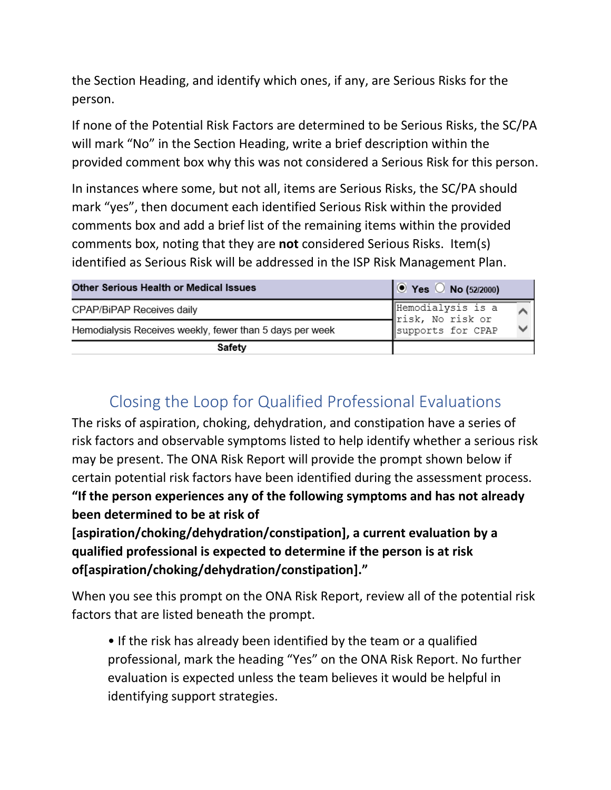the Section Heading, and identify which ones, if any, are Serious Risks for the person.

If none of the Potential Risk Factors are determined to be Serious Risks, the SC/PA will mark "No" in the Section Heading, write a brief description within the provided comment box why this was not considered a Serious Risk for this person.

In instances where some, but not all, items are Serious Risks, the SC/PA should mark "yes", then document each identified Serious Risk within the provided comments box and add a brief list of the remaining items within the provided comments box, noting that they are **not** considered Serious Risks. Item(s) identified as Serious Risk will be addressed in the ISP Risk Management Plan.

| <b>Other Serious Health or Medical Issues</b>            | $\bullet$ Yes $\circ$ No (52/2000)    |
|----------------------------------------------------------|---------------------------------------|
| CPAP/BiPAP Receives daily                                | Hemodialysis is a<br>risk, No risk or |
| Hemodialysis Receives weekly, fewer than 5 days per week | supports for CPAP                     |
| Safety                                                   |                                       |

# Closing the Loop for Qualified Professional Evaluations

The risks of aspiration, choking, dehydration, and constipation have a series of risk factors and observable symptoms listed to help identify whether a serious risk may be present. The ONA Risk Report will provide the prompt shown below if certain potential risk factors have been identified during the assessment process. **"If the person experiences any of the following symptoms and has not already been determined to be at risk of** 

**[aspiration/choking/dehydration/constipation], a current evaluation by a qualified professional is expected to determine if the person is at risk of[aspiration/choking/dehydration/constipation]."**

When you see this prompt on the ONA Risk Report, review all of the potential risk factors that are listed beneath the prompt.

• If the risk has already been identified by the team or a qualified professional, mark the heading "Yes" on the ONA Risk Report. No further evaluation is expected unless the team believes it would be helpful in identifying support strategies.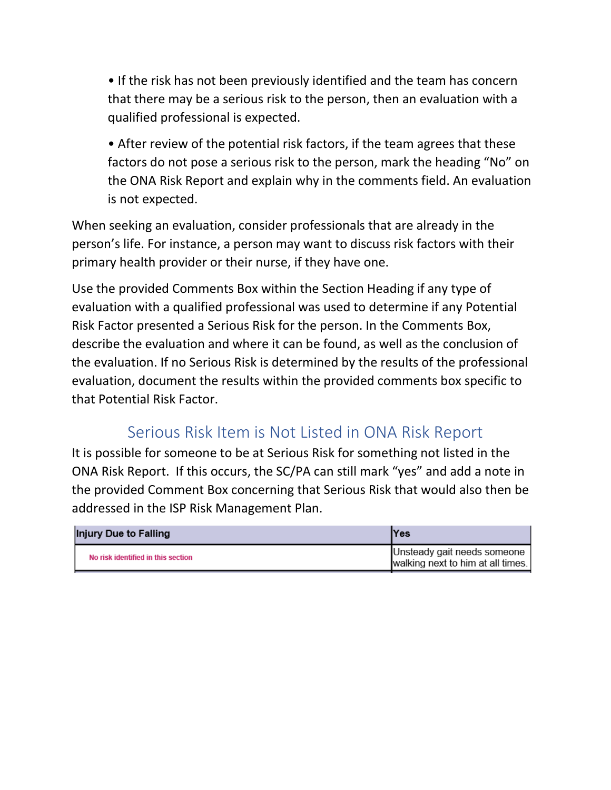• If the risk has not been previously identified and the team has concern that there may be a serious risk to the person, then an evaluation with a qualified professional is expected.

• After review of the potential risk factors, if the team agrees that these factors do not pose a serious risk to the person, mark the heading "No" on the ONA Risk Report and explain why in the comments field. An evaluation is not expected.

When seeking an evaluation, consider professionals that are already in the person's life. For instance, a person may want to discuss risk factors with their primary health provider or their nurse, if they have one.

Use the provided Comments Box within the Section Heading if any type of evaluation with a qualified professional was used to determine if any Potential Risk Factor presented a Serious Risk for the person. In the Comments Box, describe the evaluation and where it can be found, as well as the conclusion of the evaluation. If no Serious Risk is determined by the results of the professional evaluation, document the results within the provided comments box specific to that Potential Risk Factor.

### Serious Risk Item is Not Listed in ONA Risk Report

It is possible for someone to be at Serious Risk for something not listed in the ONA Risk Report. If this occurs, the SC/PA can still mark "yes" and add a note in the provided Comment Box concerning that Serious Risk that would also then be addressed in the ISP Risk Management Plan.

| Injury Due to Falling              | lYes                                                             |
|------------------------------------|------------------------------------------------------------------|
| No risk identified in this section | Unsteady gait needs someone<br>walking next to him at all times. |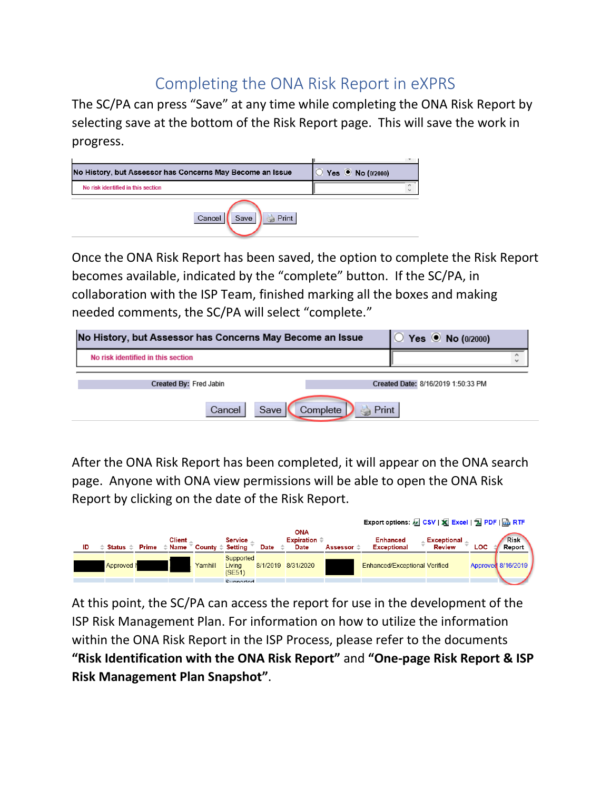## Completing the ONA Risk Report in eXPRS

The SC/PA can press "Save" at any time while completing the ONA Risk Report by selecting save at the bottom of the Risk Report page. This will save the work in progress.



Once the ONA Risk Report has been saved, the option to complete the Risk Report becomes available, indicated by the "complete" button. If the SC/PA, in collaboration with the ISP Team, finished marking all the boxes and making needed comments, the SC/PA will select "complete."

| No History, but Assessor has Concerns May Become an Issue | Yes ( No (0/2000)                  |  |
|-----------------------------------------------------------|------------------------------------|--|
| No risk identified in this section                        | $\wedge$<br>$\check{}$             |  |
| Created By: Fred Jabin                                    | Created Date: 8/16/2019 1:50:33 PM |  |
| Save $\vert$<br>Complete<br>A Print<br>Cancel             |                                    |  |

After the ONA Risk Report has been completed, it will appear on the ONA search page. Anyone with ONA view permissions will be able to open the ONA Risk Report by clicking on the date of the Risk Report.



At this point, the SC/PA can access the report for use in the development of the ISP Risk Management Plan. For information on how to utilize the information within the ONA Risk Report in the ISP Process, please refer to the documents **"Risk Identification with the ONA Risk Report"** and **"One-page Risk Report & ISP Risk Management Plan Snapshot"**.